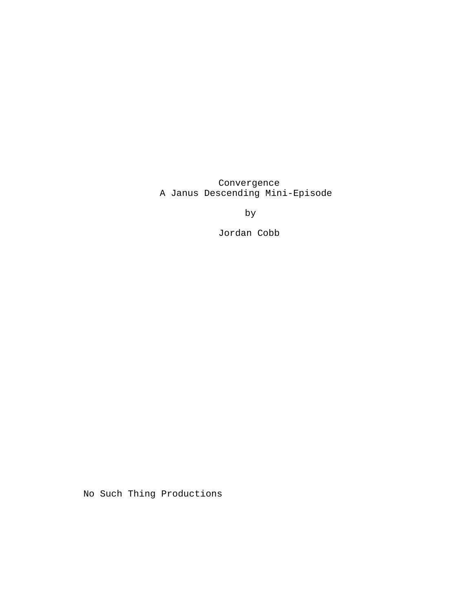Convergence A Janus Descending Mini-Episode

by

Jordan Cobb

No Such Thing Productions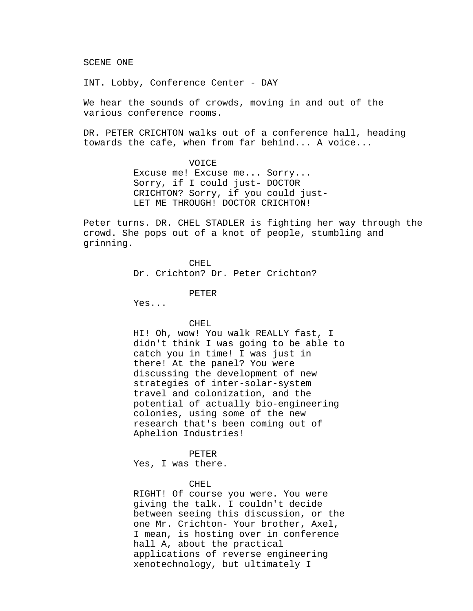SCENE ONE

INT. Lobby, Conference Center - DAY

We hear the sounds of crowds, moving in and out of the various conference rooms.

DR. PETER CRICHTON walks out of a conference hall, heading towards the cafe, when from far behind... A voice...

> VOICE Excuse me! Excuse me... Sorry... Sorry, if I could just- DOCTOR CRICHTON? Sorry, if you could just-LET ME THROUGH! DOCTOR CRICHTON!

Peter turns. DR. CHEL STADLER is fighting her way through the crowd. She pops out of a knot of people, stumbling and grinning.

CHEL.

Dr. Crichton? Dr. Peter Crichton?

PETER

Yes...

CHEL

HI! Oh, wow! You walk REALLY fast, I didn't think I was going to be able to catch you in time! I was just in there! At the panel? You were discussing the development of new strategies of inter-solar-system travel and colonization, and the potential of actually bio-engineering colonies, using some of the new research that's been coming out of Aphelion Industries!

PETER

Yes, I was there.

CHEL

RIGHT! Of course you were. You were giving the talk. I couldn't decide between seeing this discussion, or the one Mr. Crichton- Your brother, Axel, I mean, is hosting over in conference hall A, about the practical applications of reverse engineering xenotechnology, but ultimately I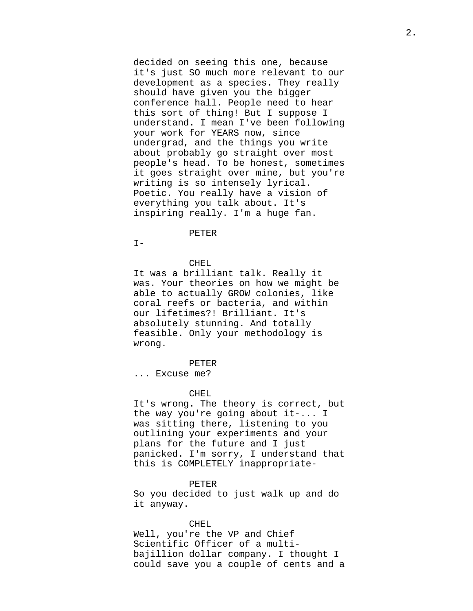decided on seeing this one, because it's just SO much more relevant to our development as a species. They really should have given you the bigger conference hall. People need to hear this sort of thing! But I suppose I understand. I mean I've been following your work for YEARS now, since undergrad, and the things you write about probably go straight over most people's head. To be honest, sometimes it goes straight over mine, but you're writing is so intensely lyrical. Poetic. You really have a vision of everything you talk about. It's inspiring really. I'm a huge fan.

## PETER

 $I -$ 

# CHEL.

It was a brilliant talk. Really it was. Your theories on how we might be able to actually GROW colonies, like coral reefs or bacteria, and within our lifetimes?! Brilliant. It's absolutely stunning. And totally feasible. Only your methodology is wrong.

# PETER

... Excuse me?

# CHEL.

It's wrong. The theory is correct, but the way you're going about it-... I was sitting there, listening to you outlining your experiments and your plans for the future and I just panicked. I'm sorry, I understand that this is COMPLETELY inappropriate-

## PETER

So you decided to just walk up and do it anyway.

# CHEL

Well, you're the VP and Chief Scientific Officer of a multibajillion dollar company. I thought I could save you a couple of cents and a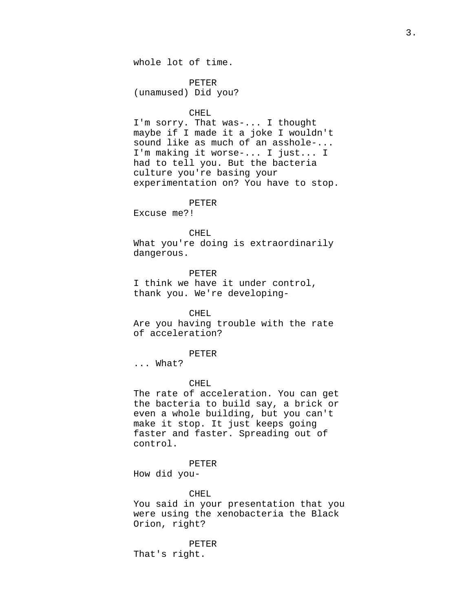PETER (unamused) Did you?

# CHEL

I'm sorry. That was-... I thought maybe if I made it a joke I wouldn't sound like as much of an asshole-... I'm making it worse-... I just... I had to tell you. But the bacteria culture you're basing your experimentation on? You have to stop.

#### PETER

Excuse me?!

# CHEL

What you're doing is extraordinarily dangerous.

## PETER

I think we have it under control, thank you. We're developing-

# CHEL

Are you having trouble with the rate of acceleration?

# PETER

... What?

# CHEL.

The rate of acceleration. You can get the bacteria to build say, a brick or even a whole building, but you can't make it stop. It just keeps going faster and faster. Spreading out of control.

### PETER

How did you-

## CHEL

You said in your presentation that you were using the xenobacteria the Black Orion, right?

PETER

That's right.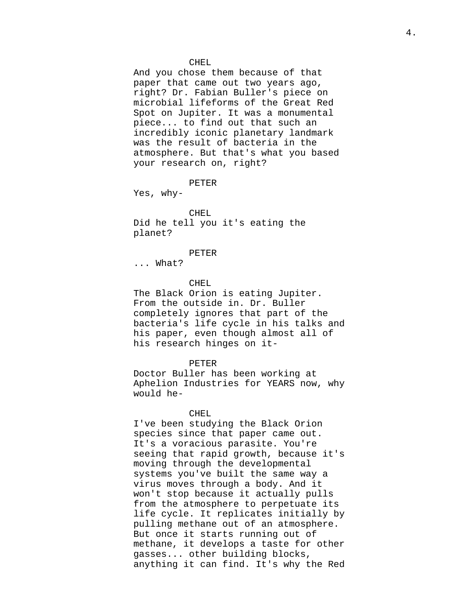## CHEL

And you chose them because of that paper that came out two years ago, right? Dr. Fabian Buller's piece on microbial lifeforms of the Great Red Spot on Jupiter. It was a monumental piece... to find out that such an incredibly iconic planetary landmark was the result of bacteria in the atmosphere. But that's what you based your research on, right?

#### PETER

Yes, why-

# CHEL

Did he tell you it's eating the planet?

#### PETER

... What?

# CHEL

The Black Orion is eating Jupiter. From the outside in. Dr. Buller completely ignores that part of the bacteria's life cycle in his talks and his paper, even though almost all of his research hinges on it-

## PETER

Doctor Buller has been working at Aphelion Industries for YEARS now, why would he-

## CHEL.

I've been studying the Black Orion species since that paper came out. It's a voracious parasite. You're seeing that rapid growth, because it's moving through the developmental systems you've built the same way a virus moves through a body. And it won't stop because it actually pulls from the atmosphere to perpetuate its life cycle. It replicates initially by pulling methane out of an atmosphere. But once it starts running out of methane, it develops a taste for other gasses... other building blocks, anything it can find. It's why the Red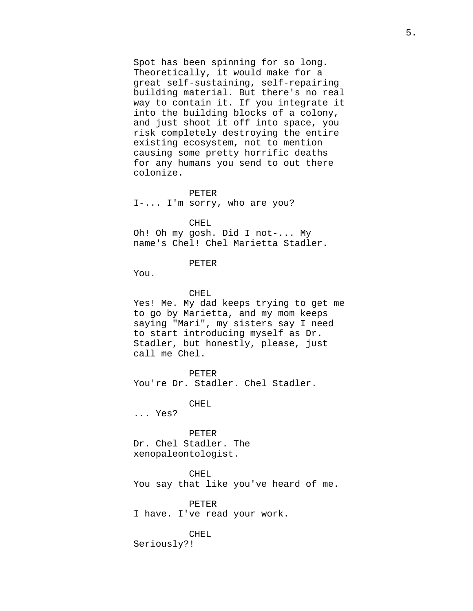Spot has been spinning for so long. Theoretically, it would make for a great self-sustaining, self-repairing building material. But there's no real way to contain it. If you integrate it into the building blocks of a colony, and just shoot it off into space, you risk completely destroying the entire existing ecosystem, not to mention causing some pretty horrific deaths for any humans you send to out there colonize.

### PETER

I-... I'm sorry, who are you?

CHEL

Oh! Oh my gosh. Did I not-... My name's Chel! Chel Marietta Stadler.

# PETER

You.

# CHEL

Yes! Me. My dad keeps trying to get me to go by Marietta, and my mom keeps saying "Mari", my sisters say I need to start introducing myself as Dr. Stadler, but honestly, please, just call me Chel.

PETER You're Dr. Stadler. Chel Stadler.

CHEL

... Yes?

PETER Dr. Chel Stadler. The xenopaleontologist.

CHEL You say that like you've heard of me.

PETER I have. I've read your work.

CHEL

Seriously?!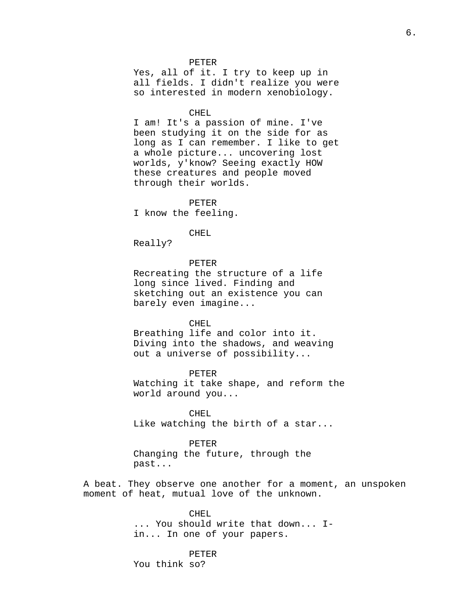#### PETER

Yes, all of it. I try to keep up in all fields. I didn't realize you were so interested in modern xenobiology.

#### CHEL

I am! It's a passion of mine. I've been studying it on the side for as long as I can remember. I like to get a whole picture... uncovering lost worlds, y'know? Seeing exactly HOW these creatures and people moved through their worlds.

PETER I know the feeling.

# CHEL

Really?

# PETER

Recreating the structure of a life long since lived. Finding and sketching out an existence you can barely even imagine...

### CHEL

Breathing life and color into it. Diving into the shadows, and weaving out a universe of possibility...

PETER Watching it take shape, and reform the world around you...

CHEL. Like watching the birth of a star...

#### PETER

Changing the future, through the past...

A beat. They observe one another for a moment, an unspoken moment of heat, mutual love of the unknown.

> CHEL. ... You should write that down... Iin... In one of your papers.

# PETER

You think so?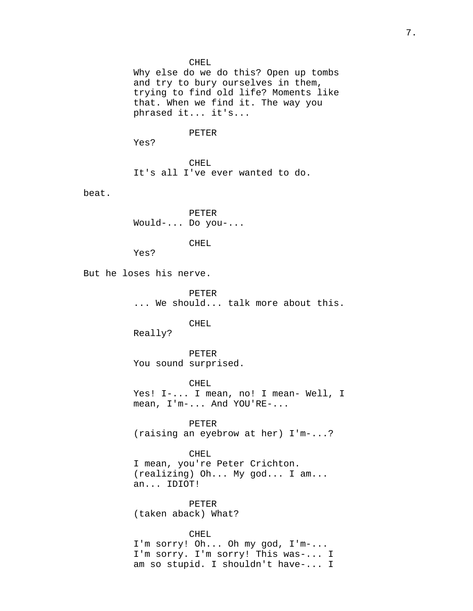## CHEL

Why else do we do this? Open up tombs and try to bury ourselves in them, trying to find old life? Moments like that. When we find it. The way you phrased it... it's...

## PETER

Yes?

CHEL It's all I've ever wanted to do.

beat.

PETER Would-... Do you-...

CHEL

Yes?

But he loses his nerve.

PETER ... We should... talk more about this.

## CHEL

Really?

PETER You sound surprised.

CHEL Yes! I-... I mean, no! I mean- Well, I mean, I'm-... And YOU'RE-...

PETER (raising an eyebrow at her) I'm-...?

# CHEL

I mean, you're Peter Crichton. (realizing) Oh... My god... I am... an... IDIOT!

PETER (taken aback) What?

CHEL

I'm sorry! Oh... Oh my god, I'm-... I'm sorry. I'm sorry! This was-... I am so stupid. I shouldn't have-... I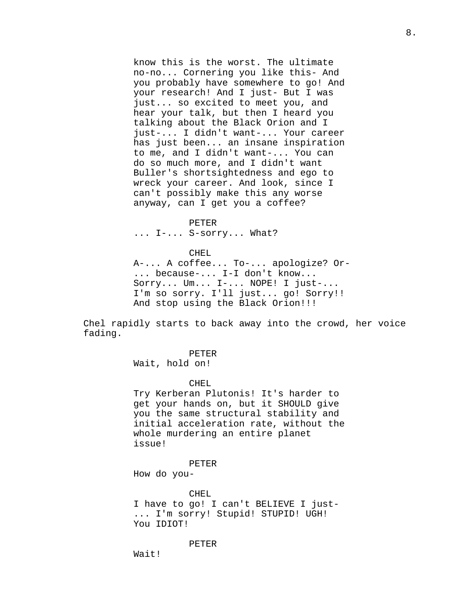know this is the worst. The ultimate no-no... Cornering you like this- And you probably have somewhere to go! And your research! And I just- But I was just... so excited to meet you, and hear your talk, but then I heard you talking about the Black Orion and I just-... I didn't want-... Your career has just been... an insane inspiration to me, and I didn't want-... You can do so much more, and I didn't want Buller's shortsightedness and ego to wreck your career. And look, since I can't possibly make this any worse anyway, can I get you a coffee?

8.

# PETER

... I-... S-sorry... What?

# CHEL

A-... A coffee... To-... apologize? Or- ... because-... I-I don't know... Sorry... Um... I-... NOPE! I just-... I'm so sorry. I'll just... go! Sorry!! And stop using the Black Orion!!!

Chel rapidly starts to back away into the crowd, her voice fading.

PETER

Wait, hold on!

## CHEL.

Try Kerberan Plutonis! It's harder to get your hands on, but it SHOULD give you the same structural stability and initial acceleration rate, without the whole murdering an entire planet issue!

### PETER

How do you-

CHEL

I have to go! I can't BELIEVE I just- ... I'm sorry! Stupid! STUPID! UGH! You IDIOT!

PETER

Wait!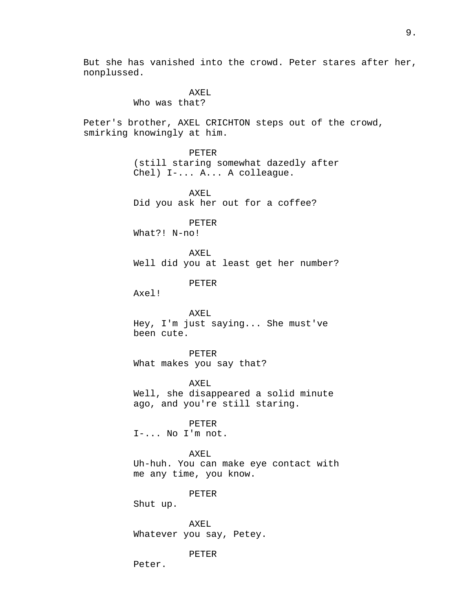But she has vanished into the crowd. Peter stares after her, nonplussed.

> AXEL Who was that?

Peter's brother, AXEL CRICHTON steps out of the crowd, smirking knowingly at him.

> PETER (still staring somewhat dazedly after Chel) I-... A... A colleague.

AXEL Did you ask her out for a coffee?

PETER

What?! N-no!

AXEL Well did you at least get her number?

PETER

Axel!

AXEL Hey, I'm just saying... She must've been cute.

PETER What makes you say that?

AXEL Well, she disappeared a solid minute ago, and you're still staring.

PETER

I-... No I'm not.

AXEL

Uh-huh. You can make eye contact with me any time, you know.

## PETER

Shut up.

AXEL Whatever you say, Petey.

# PETER

Peter.